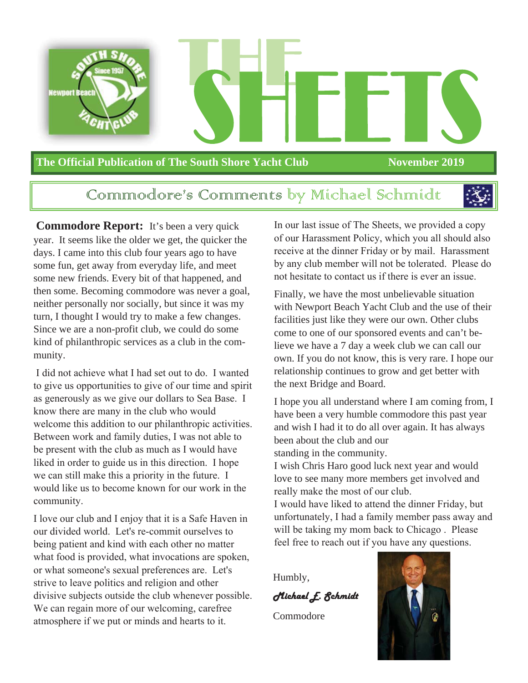

#### **The Official Publication of The South Shore Yacht Club November 2019**

#### Communodore's Communents by Michael Schinnidt



**Commodore Report:** It's been a very quick year. It seems like the older we get, the quicker the days. I came into this club four years ago to have some fun, get away from everyday life, and meet some new friends. Every bit of that happened, and then some. Becoming commodore was never a goal, neither personally nor socially, but since it was my turn, I thought I would try to make a few changes. Since we are a non-profit club, we could do some kind of philanthropic services as a club in the community.

I did not achieve what I had set out to do. I wanted to give us opportunities to give of our time and spirit as generously as we give our dollars to Sea Base. I know there are many in the club who would welcome this addition to our philanthropic activities. Between work and family duties, I was not able to be present with the club as much as I would have liked in order to guide us in this direction. I hope we can still make this a priority in the future. I would like us to become known for our work in the community.

I love our club and I enjoy that it is a Safe Haven in our divided world. Let's re-commit ourselves to being patient and kind with each other no matter what food is provided, what invocations are spoken, or what someone's sexual preferences are. Let's strive to leave politics and religion and other divisive subjects outside the club whenever possible. We can regain more of our welcoming, carefree atmosphere if we put or minds and hearts to it.

In our last issue of The Sheets, we provided a copy of our Harassment Policy, which you all should also receive at the dinner Friday or by mail. Harassment by any club member will not be tolerated. Please do not hesitate to contact us if there is ever an issue.

Finally, we have the most unbelievable situation with Newport Beach Yacht Club and the use of their facilities just like they were our own. Other clubs come to one of our sponsored events and can't believe we have a 7 day a week club we can call our own. If you do not know, this is very rare. I hope our relationship continues to grow and get better with the next Bridge and Board.

I hope you all understand where I am coming from, I have been a very humble commodore this past year and wish I had it to do all over again. It has always been about the club and our standing in the community.

I wish Chris Haro good luck next year and would love to see many more members get involved and really make the most of our club.

I would have liked to attend the dinner Friday, but unfortunately, I had a family member pass away and will be taking my mom back to Chicago . Please feel free to reach out if you have any questions.

Humbly,

Michael E. Schmidt

Commodore

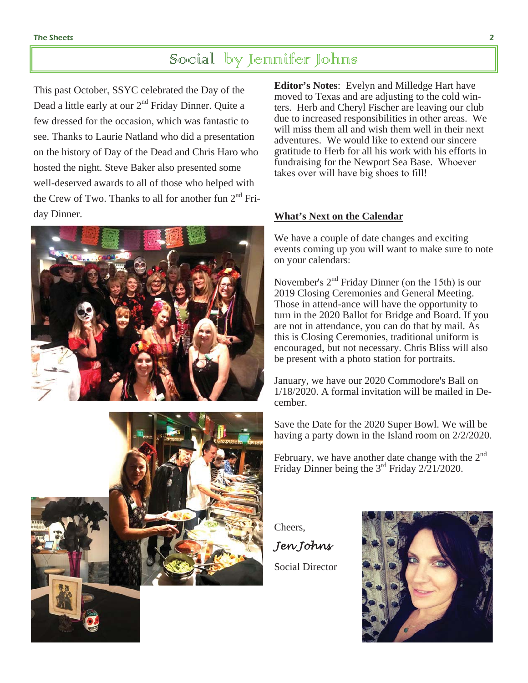#### Social by Jennifer Johns

This past October, SSYC celebrated the Day of the Dead a little early at our  $2<sup>nd</sup>$  Friday Dinner. Ouite a few dressed for the occasion, which was fantastic to see. Thanks to Laurie Natland who did a presentation on the history of Day of the Dead and Chris Haro who hosted the night. Steve Baker also presented some well-deserved awards to all of those who helped with the Crew of Two. Thanks to all for another fun  $2<sup>nd</sup>$  Friday Dinner.





**Editor's Notes**: Evelyn and Milledge Hart have moved to Texas and are adjusting to the cold winters. Herb and Cheryl Fischer are leaving our club due to increased responsibilities in other areas. We will miss them all and wish them well in their next adventures. We would like to extend our sincere gratitude to Herb for all his work with his efforts in fundraising for the Newport Sea Base. Whoever takes over will have big shoes to fill!

#### **What's Next on the Calendar**

We have a couple of date changes and exciting events coming up you will want to make sure to note on your calendars:

November's  $2<sup>nd</sup>$  Friday Dinner (on the 15th) is our 2019 Closing Ceremonies and General Meeting. Those in attend-ance will have the opportunity to turn in the 2020 Ballot for Bridge and Board. If you are not in attendance, you can do that by mail. As this is Closing Ceremonies, traditional uniform is encouraged, but not necessary. Chris Bliss will also be present with a photo station for portraits.

January, we have our 2020 Commodore's Ball on 1/18/2020. A formal invitation will be mailed in December.

Save the Date for the 2020 Super Bowl. We will be having a party down in the Island room on 2/2/2020.

February, we have another date change with the  $2^{nd}$ Friday Dinner being the  $3^{rd}$  Friday  $2/21/2020$ .

Cheers,

*Jen Johns*

Social Director

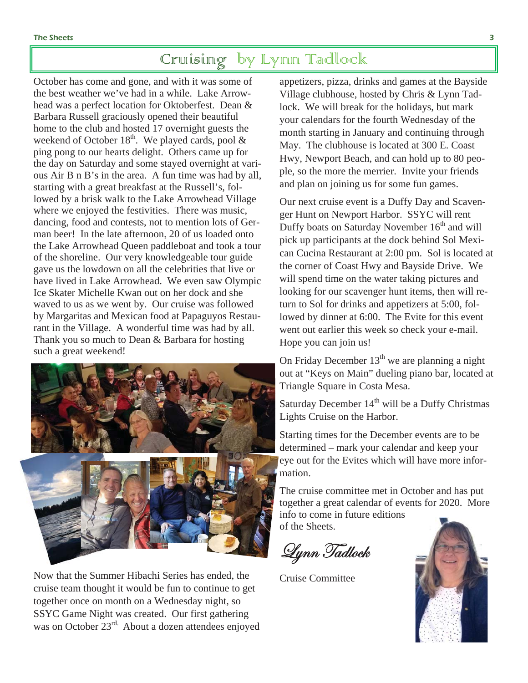### Cruising by Lynn Tadlock

October has come and gone, and with it was some of the best weather we've had in a while. Lake Arrowhead was a perfect location for Oktoberfest. Dean & Barbara Russell graciously opened their beautiful home to the club and hosted 17 overnight guests the weekend of October  $18<sup>th</sup>$ . We played cards, pool & ping pong to our hearts delight. Others came up for the day on Saturday and some stayed overnight at various Air B n B's in the area. A fun time was had by all, starting with a great breakfast at the Russell's, followed by a brisk walk to the Lake Arrowhead Village where we enjoyed the festivities. There was music, dancing, food and contests, not to mention lots of German beer! In the late afternoon, 20 of us loaded onto the Lake Arrowhead Queen paddleboat and took a tour of the shoreline. Our very knowledgeable tour guide gave us the lowdown on all the celebrities that live or have lived in Lake Arrowhead. We even saw Olympic Ice Skater Michelle Kwan out on her dock and she waved to us as we went by. Our cruise was followed by Margaritas and Mexican food at Papaguyos Restaurant in the Village. A wonderful time was had by all. Thank you so much to Dean & Barbara for hosting such a great weekend!



Now that the Summer Hibachi Series has ended, the cruise team thought it would be fun to continue to get together once on month on a Wednesday night, so SSYC Game Night was created. Our first gathering was on October 23<sup>rd.</sup> About a dozen attendees enjoyed appetizers, pizza, drinks and games at the Bayside Village clubhouse, hosted by Chris & Lynn Tadlock. We will break for the holidays, but mark your calendars for the fourth Wednesday of the month starting in January and continuing through May. The clubhouse is located at 300 E. Coast Hwy, Newport Beach, and can hold up to 80 people, so the more the merrier. Invite your friends and plan on joining us for some fun games.

Our next cruise event is a Duffy Day and Scavenger Hunt on Newport Harbor. SSYC will rent Duffy boats on Saturday November 16<sup>th</sup> and will pick up participants at the dock behind Sol Mexican Cucina Restaurant at 2:00 pm. Sol is located at the corner of Coast Hwy and Bayside Drive. We will spend time on the water taking pictures and looking for our scavenger hunt items, then will return to Sol for drinks and appetizers at 5:00, followed by dinner at 6:00. The Evite for this event went out earlier this week so check your e-mail. Hope you can join us!

On Friday December  $13<sup>th</sup>$  we are planning a night out at "Keys on Main" dueling piano bar, located at Triangle Square in Costa Mesa.

Saturday December  $14<sup>th</sup>$  will be a Duffy Christmas Lights Cruise on the Harbor.

Starting times for the December events are to be determined – mark your calendar and keep your eye out for the Evites which will have more information.

The cruise committee met in October and has put together a great calendar of events for 2020. More info to come in future editions of the Sheets.

Lynn Tadlock

Cruise Committee

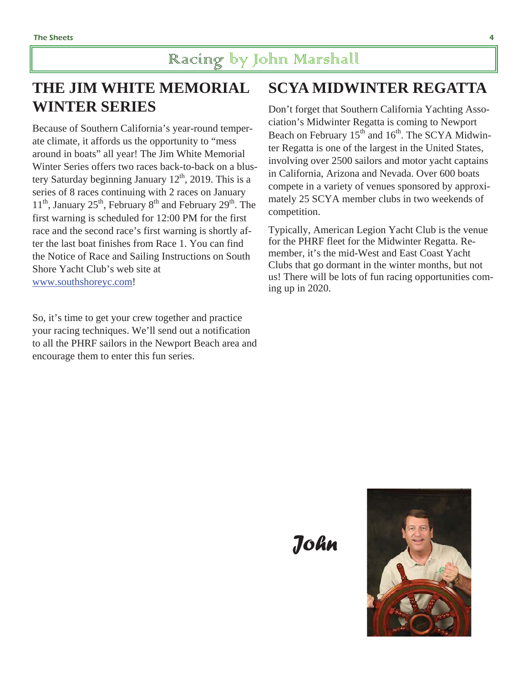#### Racing by John Marshall

#### **THE JIM WHITE MEMORIAL WINTER SERIES**

Because of Southern California's year-round temperate climate, it affords us the opportunity to "mess around in boats" all year! The Jim White Memorial Winter Series offers two races back-to-back on a blustery Saturday beginning January  $12<sup>th</sup>$ , 2019. This is a series of 8 races continuing with 2 races on January  $11<sup>th</sup>$ , January 25<sup>th</sup>, February 8<sup>th</sup> and February 29<sup>th</sup>. The first warning is scheduled for 12:00 PM for the first race and the second race's first warning is shortly after the last boat finishes from Race 1. You can find the Notice of Race and Sailing Instructions on South Shore Yacht Club's web site at www.southshoreyc.com!

So, it's time to get your crew together and practice your racing techniques. We'll send out a notification to all the PHRF sailors in the Newport Beach area and encourage them to enter this fun series.

### **SCYA MIDWINTER REGATTA**

Don't forget that Southern California Yachting Association's Midwinter Regatta is coming to Newport Beach on February  $15<sup>th</sup>$  and  $16<sup>th</sup>$ . The SCYA Midwinter Regatta is one of the largest in the United States, involving over 2500 sailors and motor yacht captains in California, Arizona and Nevada. Over 600 boats compete in a variety of venues sponsored by approximately 25 SCYA member clubs in two weekends of competition.

Typically, American Legion Yacht Club is the venue for the PHRF fleet for the Midwinter Regatta. Remember, it's the mid-West and East Coast Yacht Clubs that go dormant in the winter months, but not us! There will be lots of fun racing opportunities coming up in 2020.

 *John*

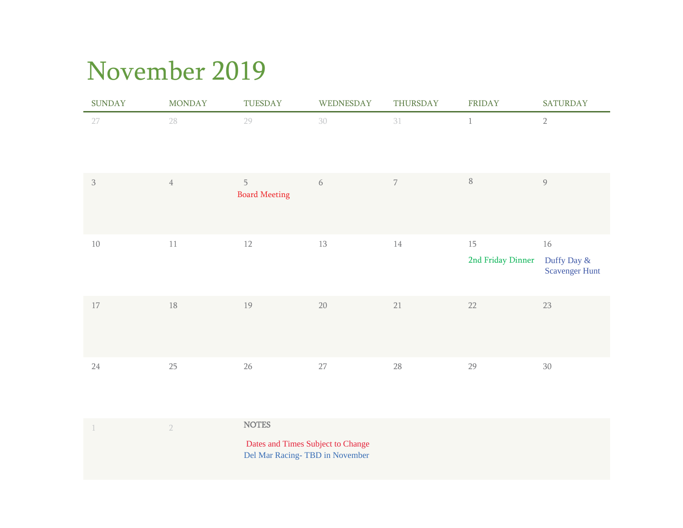# November 2019

| <b>SUNDAY</b>  | <b>MONDAY</b>  | TUESDAY                   | WEDNESDAY | THURSDAY       | FRIDAY                  | <b>SATURDAY</b>                            |
|----------------|----------------|---------------------------|-----------|----------------|-------------------------|--------------------------------------------|
| 27             | 28             | 29                        | 30        | 31             | $\mathbf 1$             | $\sqrt{2}$                                 |
| $\mathfrak{Z}$ | $\overline{4}$ | 5<br><b>Board Meeting</b> | 6         | $\overline{7}$ | $\, 8$                  | $\mathcal{G}$                              |
| $10\,$         | $11\,$         | 12                        | 13        | $14\,$         | 15<br>2nd Friday Dinner | 16<br>Duffy Day &<br><b>Scavenger Hunt</b> |
| 17             | $18\,$         | 19                        | $20\,$    | 21             | 22                      | $23\,$                                     |
| $24\,$         | $25\,$         | $26\,$                    | $27\,$    | 28             | 29                      | $30\,$                                     |

|  | <b>NOTES</b>                                                        |
|--|---------------------------------------------------------------------|
|  | Dates and Times Subject to Change<br>Del Mar Racing-TBD in November |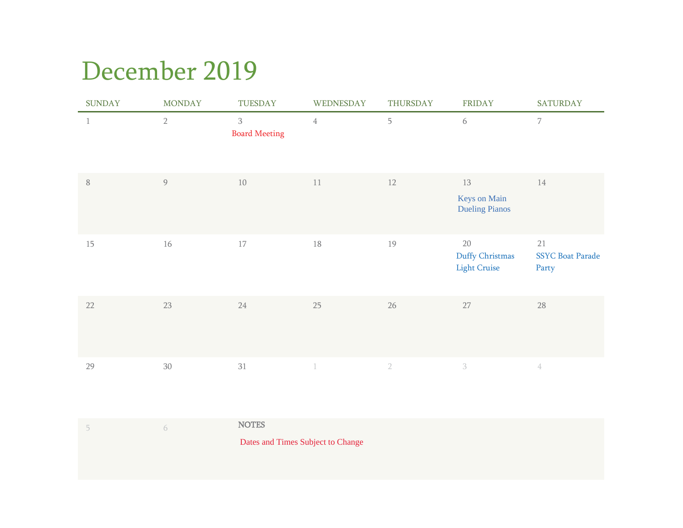## December 2019

| <b>SUNDAY</b> | <b>MONDAY</b> | TUESDAY                   | WEDNESDAY      | THURSDAY   | <b>FRIDAY</b>                                | <b>SATURDAY</b>                        |
|---------------|---------------|---------------------------|----------------|------------|----------------------------------------------|----------------------------------------|
| $\mathbf{1}$  | $2\,$         | 3<br><b>Board Meeting</b> | $\overline{4}$ | 5          | 6                                            | $\overline{7}$                         |
| $\, 8$        | $\mathcal{G}$ | 10                        | 11             | $12\,$     | 13<br>Keys on Main<br><b>Dueling Pianos</b>  | $14\,$                                 |
| 15            | 16            | $17\,$                    | $18\,$         | 19         | 20<br>Duffy Christmas<br><b>Light Cruise</b> | 21<br><b>SSYC Boat Parade</b><br>Party |
| 22            | $23\,$        | 24                        | 25             | $26\,$     | 27                                           | $28\,$                                 |
| 29            | 30            | 31                        | $\overline{1}$ | $\sqrt{2}$ | 3                                            | $\frac{A}{4}$                          |

| $\cap$ | <b>NOTES</b>                      |
|--------|-----------------------------------|
|        | Dates and Times Subject to Change |
|        |                                   |
|        |                                   |